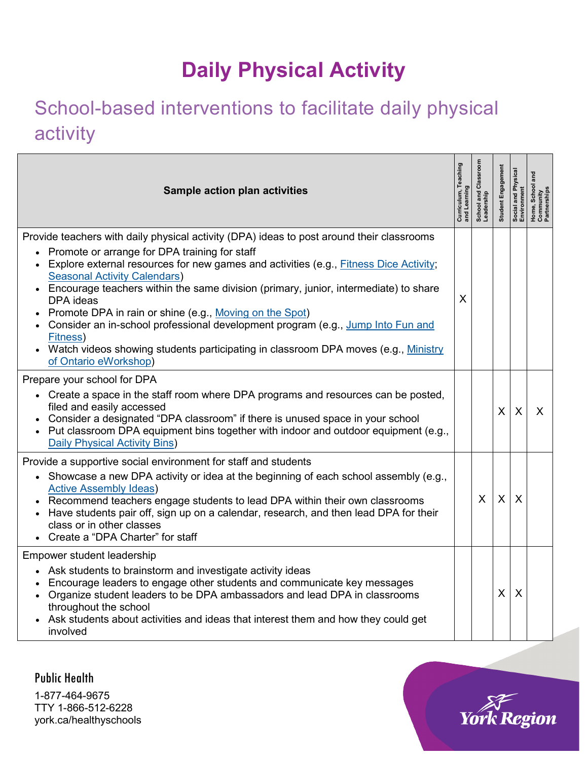## **Daily Physical Activity**

## School-based interventions to facilitate daily physical activity

| Sample action plan activities                                                                                                                                                                                                                                                                                                                                                                                                                                                                                                                                                                                                                                | Curriculum, Teaching<br>and Learning | School and Classroom<br>Leadership | Student Engagemen         | Social and Physical<br>Environment | School<br>Home,<br>Commu<br>Partneu |
|--------------------------------------------------------------------------------------------------------------------------------------------------------------------------------------------------------------------------------------------------------------------------------------------------------------------------------------------------------------------------------------------------------------------------------------------------------------------------------------------------------------------------------------------------------------------------------------------------------------------------------------------------------------|--------------------------------------|------------------------------------|---------------------------|------------------------------------|-------------------------------------|
| Provide teachers with daily physical activity (DPA) ideas to post around their classrooms<br>Promote or arrange for DPA training for staff<br>Explore external resources for new games and activities (e.g., Fitness Dice Activity;<br><b>Seasonal Activity Calendars)</b><br>• Encourage teachers within the same division (primary, junior, intermediate) to share<br>DPA ideas<br>Promote DPA in rain or shine (e.g., Moving on the Spot)<br>Consider an in-school professional development program (e.g., Jump Into Fun and<br>Fitness)<br>• Watch videos showing students participating in classroom DPA moves (e.g., Ministry<br>of Ontario eWorkshop) | X                                    |                                    |                           |                                    |                                     |
| Prepare your school for DPA<br>• Create a space in the staff room where DPA programs and resources can be posted,<br>filed and easily accessed<br>Consider a designated "DPA classroom" if there is unused space in your school<br>• Put classroom DPA equipment bins together with indoor and outdoor equipment (e.g.,<br><b>Daily Physical Activity Bins)</b>                                                                                                                                                                                                                                                                                              |                                      |                                    | X                         | X                                  | X                                   |
| Provide a supportive social environment for staff and students<br>• Showcase a new DPA activity or idea at the beginning of each school assembly (e.g.,<br><b>Active Assembly Ideas)</b><br>Recommend teachers engage students to lead DPA within their own classrooms<br>Have students pair off, sign up on a calendar, research, and then lead DPA for their<br>class or in other classes<br>Create a "DPA Charter" for staff                                                                                                                                                                                                                              |                                      | X                                  | $\boldsymbol{\mathsf{X}}$ | X                                  |                                     |
| Empower student leadership<br>Ask students to brainstorm and investigate activity ideas<br>Encourage leaders to engage other students and communicate key messages<br>Organize student leaders to be DPA ambassadors and lead DPA in classrooms<br>throughout the school<br>Ask students about activities and ideas that interest them and how they could get<br>involved                                                                                                                                                                                                                                                                                    |                                      |                                    | $\mathsf{X}$              | X                                  |                                     |

Public Health 1-877-464-9675 TTY 1-866-512-6228 york.ca/healthyschools